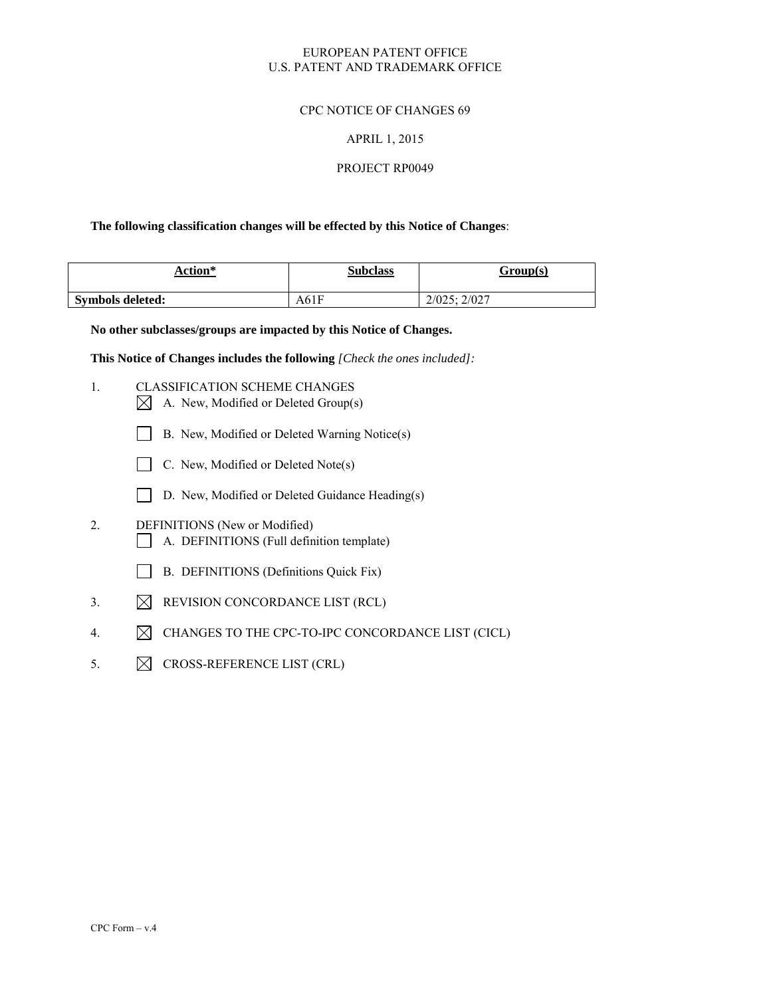## EUROPEAN PATENT OFFICE U.S. PATENT AND TRADEMARK OFFICE

## CPC NOTICE OF CHANGES 69

### APRIL 1, 2015

### PROJECT RP0049

### **The following classification changes will be effected by this Notice of Changes**:

| Action*          | <b>Subclass</b> | Group(s)    |
|------------------|-----------------|-------------|
| Symbols deleted: | A61F            | 2/025:2/027 |

**No other subclasses/groups are impacted by this Notice of Changes.** 

**This Notice of Changes includes the following** *[Check the ones included]:*

- 1. CLASSIFICATION SCHEME CHANGES
	- $\boxtimes$  A. New, Modified or Deleted Group(s)
	- B. New, Modified or Deleted Warning Notice(s)
	- $\Box$  C. New, Modified or Deleted Note(s)
	- D. New, Modified or Deleted Guidance Heading(s)
- 2. DEFINITIONS (New or Modified) A. DEFINITIONS (Full definition template)
	- B. DEFINITIONS (Definitions Quick Fix)
- 3.  $\boxtimes$  REVISION CONCORDANCE LIST (RCL)
- 4.  $\boxtimes$  CHANGES TO THE CPC-TO-IPC CONCORDANCE LIST (CICL)
- 5.  $\boxtimes$  CROSS-REFERENCE LIST (CRL)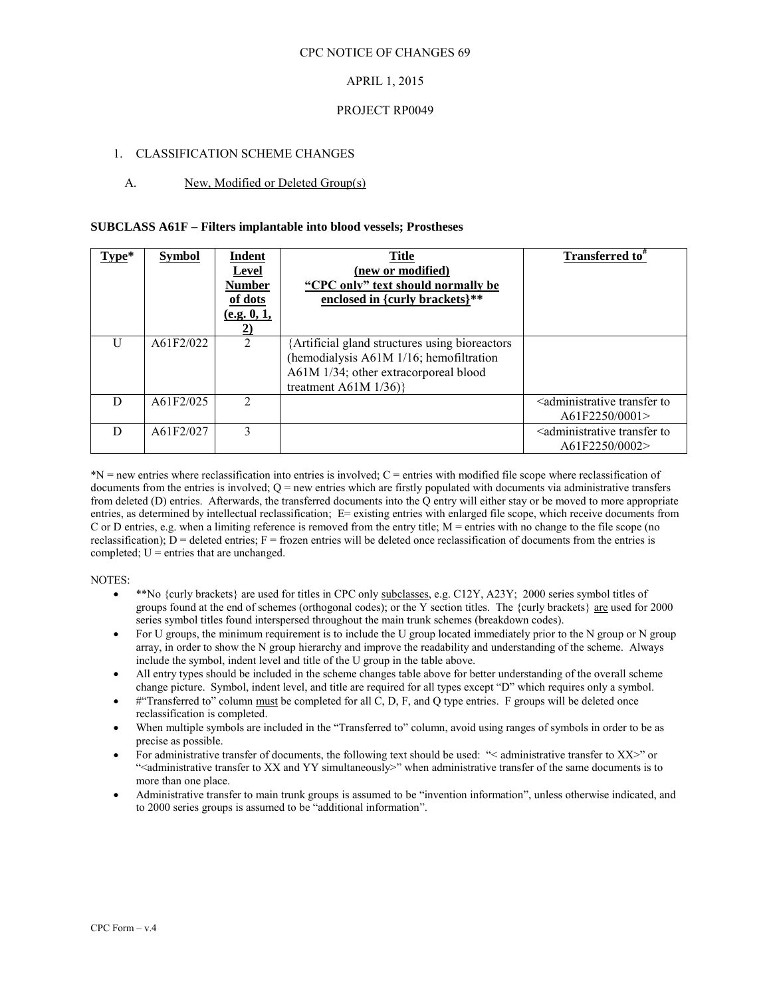## APRIL 1, 2015

### PROJECT RP0049

### 1. CLASSIFICATION SCHEME CHANGES

### A. New, Modified or Deleted Group(s)

#### **SUBCLASS A61F – Filters implantable into blood vessels; Prostheses**

| Type* | <b>Symbol</b> | Indent<br>Level<br>Number<br>of dots<br>(e.g. 0, 1, | <b>Title</b><br>(new or modified)<br>"CPC only" text should normally be<br>enclosed in {curly brackets}**                                                    | <b>Transferred to</b> "                                                 |
|-------|---------------|-----------------------------------------------------|--------------------------------------------------------------------------------------------------------------------------------------------------------------|-------------------------------------------------------------------------|
| U     | A61F2/022     | $\overline{2}$                                      | Artificial gland structures using bioreactors<br>(hemodialysis A61M 1/16; hemofiltration<br>A61M 1/34; other extracorporeal blood<br>treatment A61M $1/36$ } |                                                                         |
| D     | A61F2/025     | $\mathcal{D}_{\mathcal{L}}$                         |                                                                                                                                                              | <administrative to<br="" transfer="">A61F2250/0001</administrative>     |
| D     | A61F2/027     | 3                                                   |                                                                                                                                                              | <administrative to<br="" transfer="">A61F2250/0002&gt;</administrative> |

\*N = new entries where reclassification into entries is involved; C = entries with modified file scope where reclassification of documents from the entries is involved;  $Q =$  new entries which are firstly populated with documents via administrative transfers from deleted (D) entries. Afterwards, the transferred documents into the Q entry will either stay or be moved to more appropriate entries, as determined by intellectual reclassification; E= existing entries with enlarged file scope, which receive documents from C or D entries, e.g. when a limiting reference is removed from the entry title; M = entries with no change to the file scope (no reclassification);  $D =$  deleted entries;  $F =$  frozen entries will be deleted once reclassification of documents from the entries is completed;  $U =$  entries that are unchanged.

- \*\*No {curly brackets} are used for titles in CPC only subclasses, e.g. C12Y, A23Y; 2000 series symbol titles of groups found at the end of schemes (orthogonal codes); or the Y section titles. The {curly brackets} are used for 2000 series symbol titles found interspersed throughout the main trunk schemes (breakdown codes).
- For U groups, the minimum requirement is to include the U group located immediately prior to the N group or N group array, in order to show the N group hierarchy and improve the readability and understanding of the scheme. Always include the symbol, indent level and title of the U group in the table above.
- All entry types should be included in the scheme changes table above for better understanding of the overall scheme change picture. Symbol, indent level, and title are required for all types except "D" which requires only a symbol.
- $#$ "Transferred to" column must be completed for all C, D, F, and Q type entries. F groups will be deleted once reclassification is completed.
- When multiple symbols are included in the "Transferred to" column, avoid using ranges of symbols in order to be as precise as possible.
- For administrative transfer of documents, the following text should be used: "< administrative transfer to XX>" or ">
"<administrative transfer to XX and YY simultaneously>" when administrative transfer of the same documents is to more than one place.
- Administrative transfer to main trunk groups is assumed to be "invention information", unless otherwise indicated, and to 2000 series groups is assumed to be "additional information".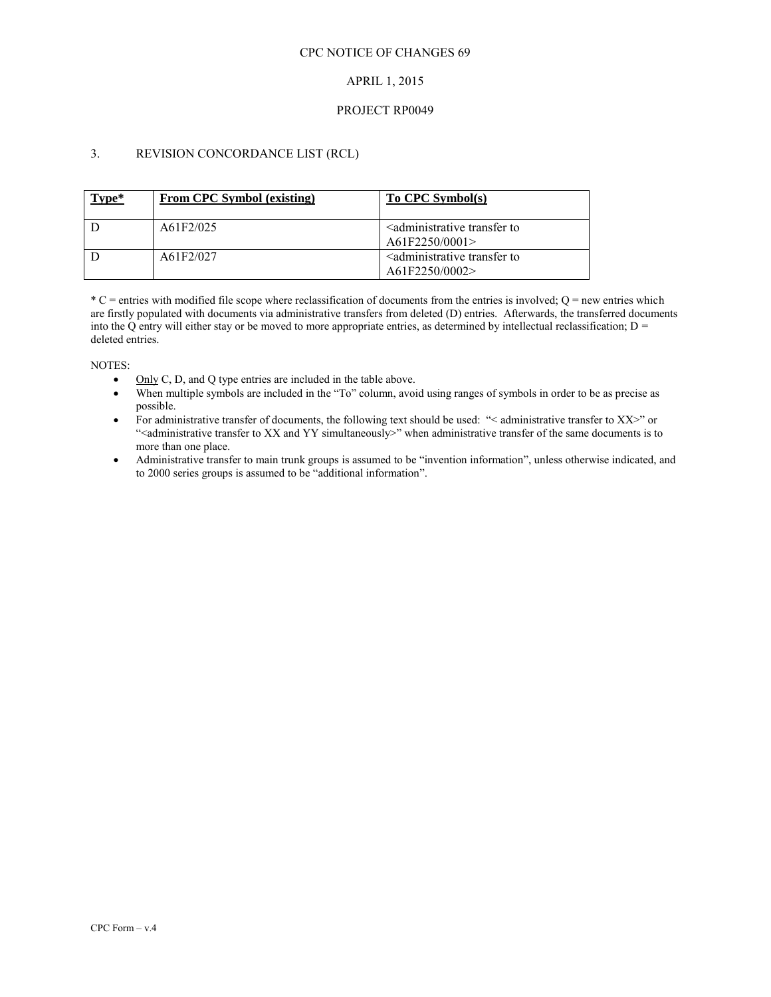### CPC NOTICE OF CHANGES 69

## APRIL 1, 2015

### PROJECT RP0049

# 3. REVISION CONCORDANCE LIST (RCL)

| Type* | From CPC Symbol (existing) | To CPC Symbol(s)                                                        |
|-------|----------------------------|-------------------------------------------------------------------------|
|       | A61F2/025                  | <administrative to<br="" transfer="">A61F2250/0001&gt;</administrative> |
|       | A61F2/027                  | <administrative to<br="" transfer="">A61F2250/0002&gt;</administrative> |

 $^*$ C = entries with modified file scope where reclassification of documents from the entries is involved; Q = new entries which are firstly populated with documents via administrative transfers from deleted (D) entries. Afterwards, the transferred documents into the Q entry will either stay or be moved to more appropriate entries, as determined by intellectual reclassification;  $D =$ deleted entries.

- $\bullet$  Only C, D, and Q type entries are included in the table above.
- When multiple symbols are included in the "To" column, avoid using ranges of symbols in order to be as precise as possible.
- For administrative transfer of documents, the following text should be used: "< administrative transfer to XX>" or "<administrative transfer to XX and YY simultaneously>" when administrative transfer of the same documents is to more than one place.
- Administrative transfer to main trunk groups is assumed to be "invention information", unless otherwise indicated, and to 2000 series groups is assumed to be "additional information".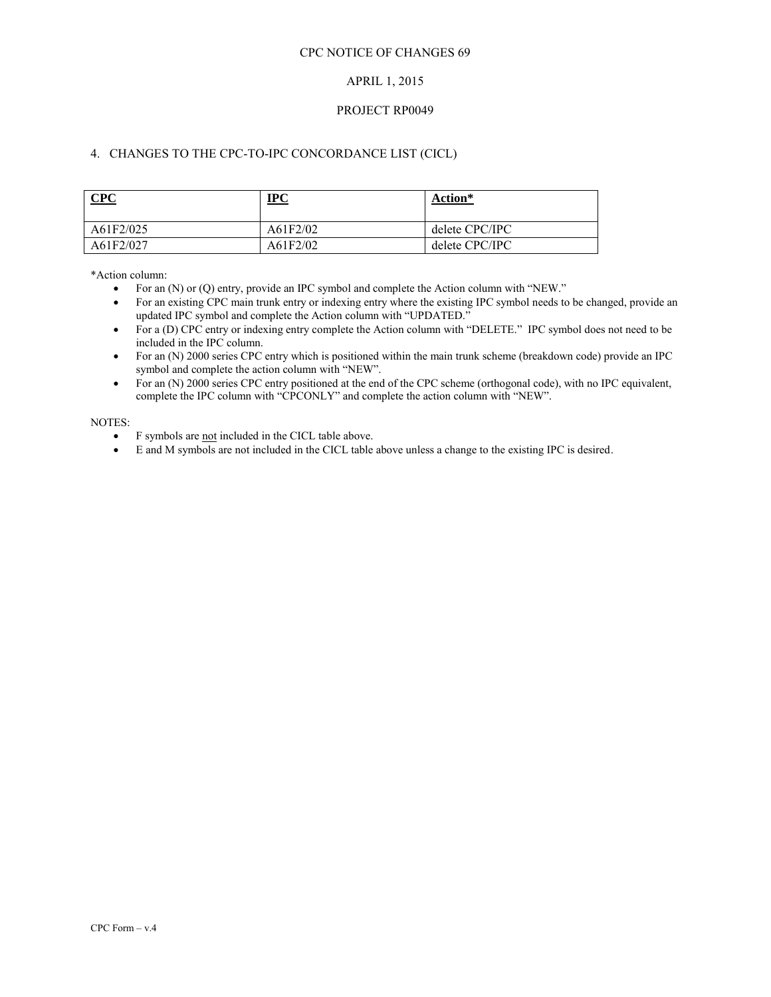### CPC NOTICE OF CHANGES 69

## APRIL 1, 2015

### PROJECT RP0049

# 4. CHANGES TO THE CPC-TO-IPC CONCORDANCE LIST (CICL)

| CPC       | $IPC$    | Action*        |
|-----------|----------|----------------|
| A61F2/025 | A61F2/02 | delete CPC/IPC |
| A61F2/027 | A61F2/02 | delete CPC/IPC |

\*Action column:

- For an (N) or (Q) entry, provide an IPC symbol and complete the Action column with "NEW."
- For an existing CPC main trunk entry or indexing entry where the existing IPC symbol needs to be changed, provide an updated IPC symbol and complete the Action column with "UPDATED."
- For a (D) CPC entry or indexing entry complete the Action column with "DELETE." IPC symbol does not need to be included in the IPC column.
- For an (N) 2000 series CPC entry which is positioned within the main trunk scheme (breakdown code) provide an IPC symbol and complete the action column with "NEW".
- For an (N) 2000 series CPC entry positioned at the end of the CPC scheme (orthogonal code), with no IPC equivalent, complete the IPC column with "CPCONLY" and complete the action column with "NEW".

- F symbols are not included in the CICL table above.
- E and M symbols are not included in the CICL table above unless a change to the existing IPC is desired.